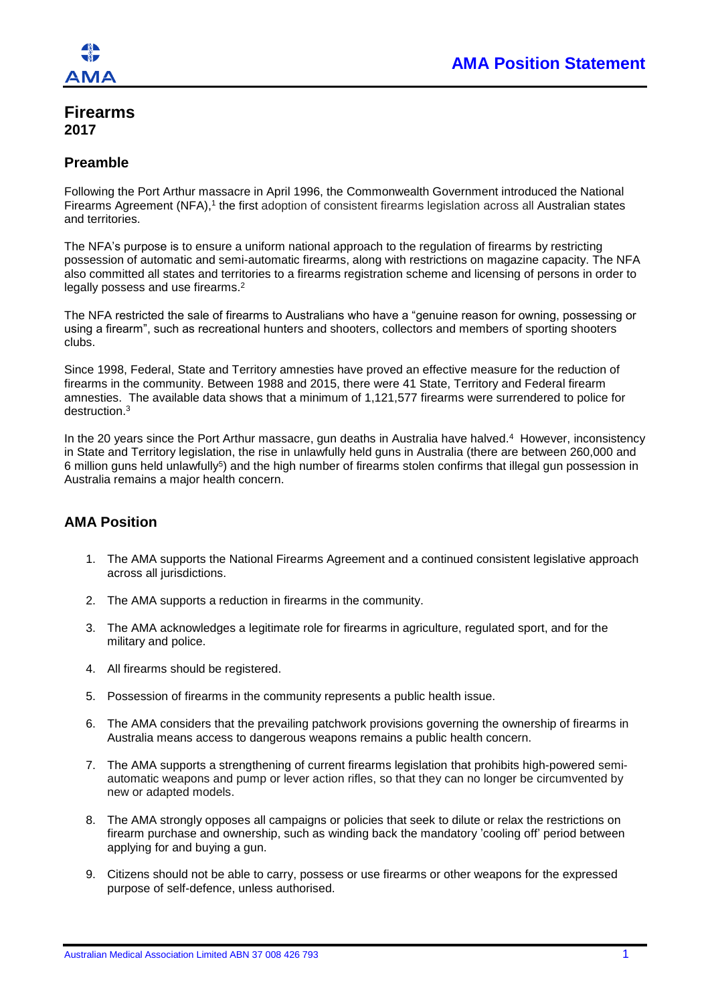

# **Firearms 2017**

## **Preamble**

Following the Port Arthur massacre in April 1996, the Commonwealth Government introduced the National Firearms Agreement (NFA),<sup>1</sup> the first adoption of consistent firearms legislation across all Australian states and territories.

The NFA's purpose is to ensure a uniform national approach to the regulation of firearms by restricting possession of automatic and semi-automatic firearms, along with restrictions on magazine capacity. The NFA also committed all states and territories to a firearms registration scheme and licensing of persons in order to legally possess and use firearms.<sup>2</sup>

The NFA restricted the sale of firearms to Australians who have a "genuine reason for owning, possessing or using a firearm", such as recreational hunters and shooters, collectors and members of sporting shooters clubs.

Since 1998, Federal, State and Territory amnesties have proved an effective measure for the reduction of firearms in the community. Between 1988 and 2015, there were 41 State, Territory and Federal firearm amnesties. The available data shows that a minimum of 1,121,577 firearms were surrendered to police for destruction. 3

In the 20 years since the Port Arthur massacre, gun deaths in Australia have halved. 4 However, inconsistency in State and Territory legislation, the rise in unlawfully held guns in Australia (there are between 260,000 and 6 million guns held unlawfully<sup>5</sup>) and the high number of firearms stolen confirms that illegal gun possession in Australia remains a major health concern.

# **AMA Position**

- 1. The AMA supports the National Firearms Agreement and a continued consistent legislative approach across all jurisdictions.
- 2. The AMA supports a reduction in firearms in the community.
- 3. The AMA acknowledges a legitimate role for firearms in agriculture, regulated sport, and for the military and police.
- 4. All firearms should be registered.
- 5. Possession of firearms in the community represents a public health issue.
- 6. The AMA considers that the prevailing patchwork provisions governing the ownership of firearms in Australia means access to dangerous weapons remains a public health concern.
- 7. The AMA supports a strengthening of current firearms legislation that prohibits high-powered semiautomatic weapons and pump or lever action rifles, so that they can no longer be circumvented by new or adapted models.
- 8. The AMA strongly opposes all campaigns or policies that seek to dilute or relax the restrictions on firearm purchase and ownership, such as winding back the mandatory 'cooling off' period between applying for and buying a gun.
- 9. Citizens should not be able to carry, possess or use firearms or other weapons for the expressed purpose of self-defence, unless authorised.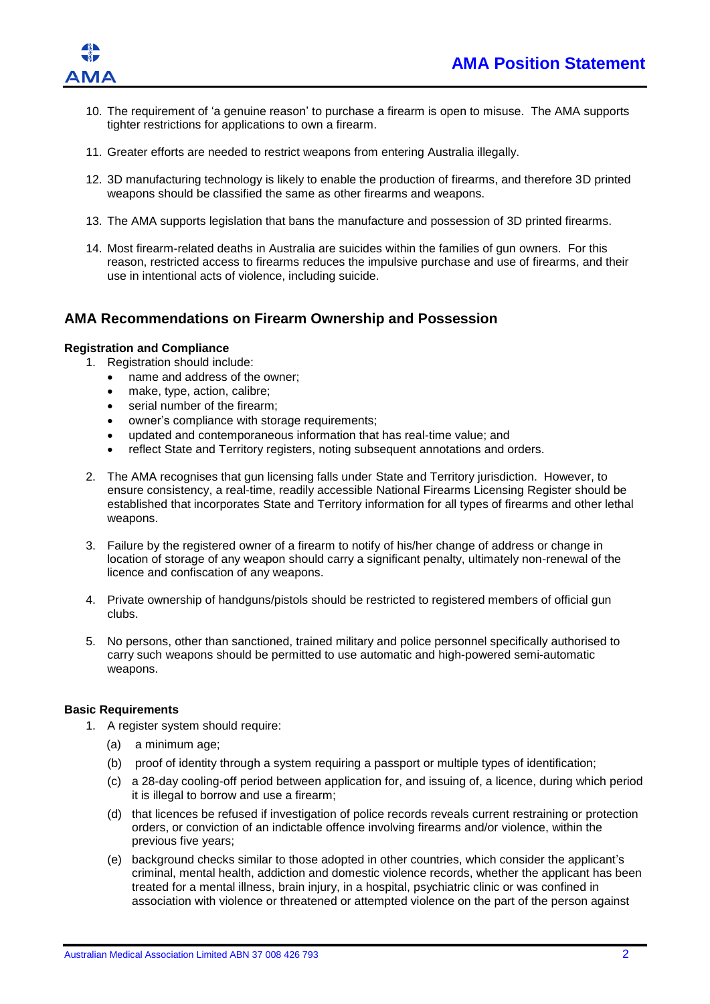

- 10. The requirement of 'a genuine reason' to purchase a firearm is open to misuse. The AMA supports tighter restrictions for applications to own a firearm.
- 11. Greater efforts are needed to restrict weapons from entering Australia illegally.
- 12. 3D manufacturing technology is likely to enable the production of firearms, and therefore 3D printed weapons should be classified the same as other firearms and weapons.
- 13. The AMA supports legislation that bans the manufacture and possession of 3D printed firearms.
- 14. Most firearm-related deaths in Australia are suicides within the families of gun owners. For this reason, restricted access to firearms reduces the impulsive purchase and use of firearms, and their use in intentional acts of violence, including suicide.

## **AMA Recommendations on Firearm Ownership and Possession**

#### **Registration and Compliance**

- 1. Registration should include:
	- name and address of the owner;
	- make, type, action, calibre;
	- serial number of the firearm:
	- owner's compliance with storage requirements;
	- updated and contemporaneous information that has real-time value; and
	- reflect State and Territory registers, noting subsequent annotations and orders.
- 2. The AMA recognises that gun licensing falls under State and Territory jurisdiction. However, to ensure consistency, a real-time, readily accessible National Firearms Licensing Register should be established that incorporates State and Territory information for all types of firearms and other lethal weapons.
- 3. Failure by the registered owner of a firearm to notify of his/her change of address or change in location of storage of any weapon should carry a significant penalty, ultimately non-renewal of the licence and confiscation of any weapons.
- 4. Private ownership of handguns/pistols should be restricted to registered members of official gun clubs.
- 5. No persons, other than sanctioned, trained military and police personnel specifically authorised to carry such weapons should be permitted to use automatic and high-powered semi-automatic weapons.

#### **Basic Requirements**

- 1. A register system should require:
	- (a) a minimum age;
	- (b) proof of identity through a system requiring a passport or multiple types of identification;
	- (c) a 28-day cooling-off period between application for, and issuing of, a licence, during which period it is illegal to borrow and use a firearm;
	- (d) that licences be refused if investigation of police records reveals current restraining or protection orders, or conviction of an indictable offence involving firearms and/or violence, within the previous five years;
	- (e) background checks similar to those adopted in other countries, which consider the applicant's criminal, mental health, addiction and domestic violence records, whether the applicant has been treated for a mental illness, brain injury, in a hospital, psychiatric clinic or was confined in association with violence or threatened or attempted violence on the part of the person against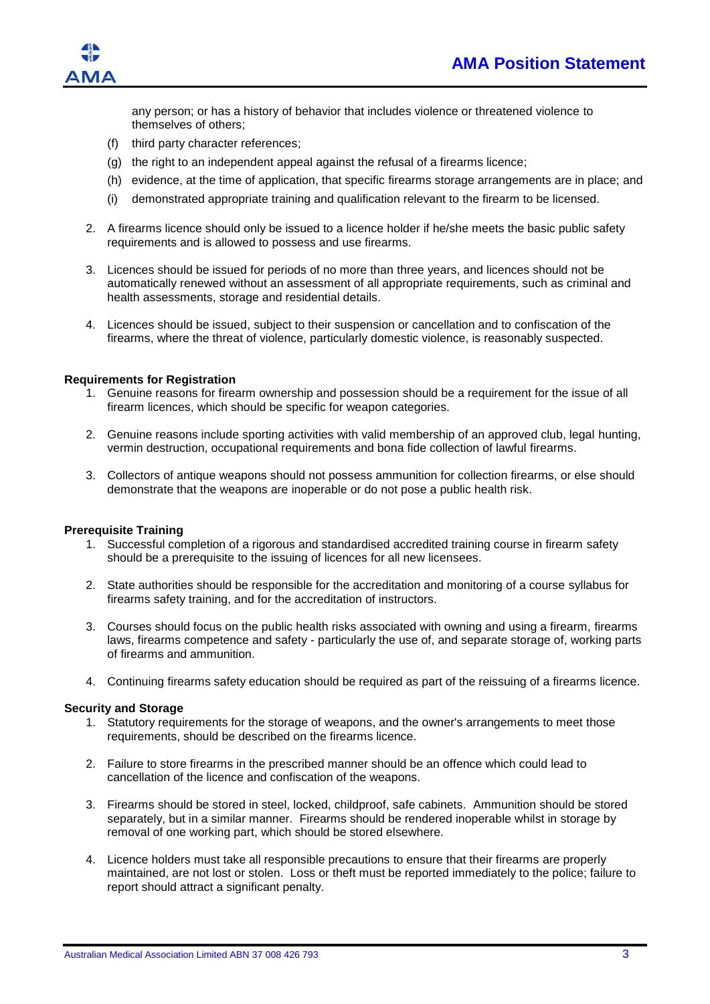

any person; or has a history of behavior that includes violence or threatened violence to themselves of others;

- (f) third party character references;
- (g) the right to an independent appeal against the refusal of a firearms licence;
- (h) evidence, at the time of application, that specific firearms storage arrangements are in place; and
- (i) demonstrated appropriate training and qualification relevant to the firearm to be licensed.
- 2. A firearms licence should only be issued to a licence holder if he/she meets the basic public safety requirements and is allowed to possess and use firearms.
- 3. Licences should be issued for periods of no more than three years, and licences should not be automatically renewed without an assessment of all appropriate requirements, such as criminal and health assessments, storage and residential details.
- 4. Licences should be issued, subject to their suspension or cancellation and to confiscation of the firearms, where the threat of violence, particularly domestic violence, is reasonably suspected.

#### **Requirements for Registration**

- 1. Genuine reasons for firearm ownership and possession should be a requirement for the issue of all firearm licences, which should be specific for weapon categories.
- 2. Genuine reasons include sporting activities with valid membership of an approved club, legal hunting, vermin destruction, occupational requirements and bona fide collection of lawful firearms.
- 3. Collectors of antique weapons should not possess ammunition for collection firearms, or else should demonstrate that the weapons are inoperable or do not pose a public health risk.

#### **Prerequisite Training**

- 1. Successful completion of a rigorous and standardised accredited training course in firearm safety should be a prerequisite to the issuing of licences for all new licensees.
- 2. State authorities should be responsible for the accreditation and monitoring of a course syllabus for firearms safety training, and for the accreditation of instructors.
- 3. Courses should focus on the public health risks associated with owning and using a firearm, firearms laws, firearms competence and safety - particularly the use of, and separate storage of, working parts of firearms and ammunition.
- 4. Continuing firearms safety education should be required as part of the reissuing of a firearms licence.

#### **Security and Storage**

- 1. Statutory requirements for the storage of weapons, and the owner's arrangements to meet those requirements, should be described on the firearms licence.
- 2. Failure to store firearms in the prescribed manner should be an offence which could lead to cancellation of the licence and confiscation of the weapons.
- 3. Firearms should be stored in steel, locked, childproof, safe cabinets. Ammunition should be stored separately, but in a similar manner. Firearms should be rendered inoperable whilst in storage by removal of one working part, which should be stored elsewhere.
- 4. Licence holders must take all responsible precautions to ensure that their firearms are properly maintained, are not lost or stolen. Loss or theft must be reported immediately to the police; failure to report should attract a significant penalty.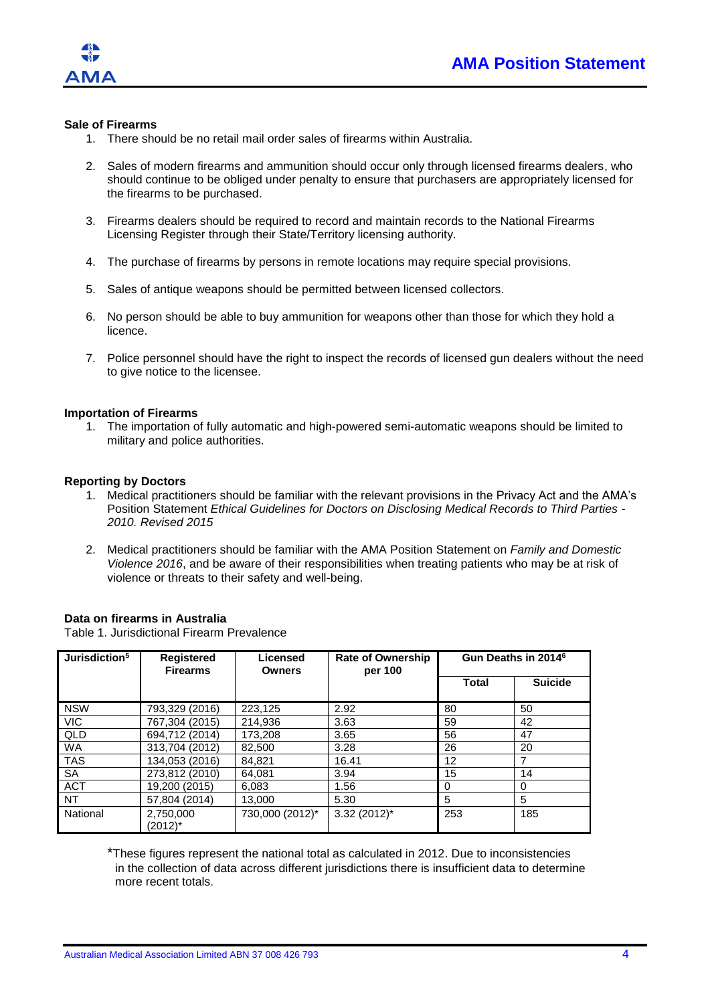

## **Sale of Firearms**

- 1. There should be no retail mail order sales of firearms within Australia.
- 2. Sales of modern firearms and ammunition should occur only through licensed firearms dealers, who should continue to be obliged under penalty to ensure that purchasers are appropriately licensed for the firearms to be purchased.
- 3. Firearms dealers should be required to record and maintain records to the National Firearms Licensing Register through their State/Territory licensing authority.
- 4. The purchase of firearms by persons in remote locations may require special provisions.
- 5. Sales of antique weapons should be permitted between licensed collectors.
- 6. No person should be able to buy ammunition for weapons other than those for which they hold a licence.
- 7. Police personnel should have the right to inspect the records of licensed gun dealers without the need to give notice to the licensee.

### **Importation of Firearms**

1. The importation of fully automatic and high-powered semi-automatic weapons should be limited to military and police authorities.

#### **Reporting by Doctors**

- 1. Medical practitioners should be familiar with the relevant provisions in the Privacy Act and the AMA's Position Statement *Ethical Guidelines for Doctors on Disclosing Medical Records to Third Parties - 2010. Revised 2015*
- 2. Medical practitioners should be familiar with the AMA Position Statement on *Family and Domestic Violence 2016*, and be aware of their responsibilities when treating patients who may be at risk of violence or threats to their safety and well-being.

### **Data on firearms in Australia**

Table 1. Jurisdictional Firearm Prevalence

| Jurisdiction <sup>5</sup> | <b>Registered</b><br><b>Firearms</b> | Licensed<br><b>Owners</b> | <b>Rate of Ownership</b><br>per 100 | Gun Deaths in 2014 <sup>6</sup> |                |
|---------------------------|--------------------------------------|---------------------------|-------------------------------------|---------------------------------|----------------|
|                           |                                      |                           |                                     | <b>Total</b>                    | <b>Suicide</b> |
| <b>NSW</b>                | 793,329 (2016)                       | 223,125                   | 2.92                                | 80                              | 50             |
| VIC.                      | 767,304 (2015)                       | 214.936                   | 3.63                                | 59                              | 42             |
| QLD                       | 694.712 (2014)                       | 173.208                   | 3.65                                | 56                              | 47             |
| <b>WA</b>                 | 313.704 (2012)                       | 82.500                    | 3.28                                | 26                              | 20             |
| <b>TAS</b>                | 134,053 (2016)                       | 84.821                    | 16.41                               | 12                              | 7              |
| <b>SA</b>                 | 273,812 (2010)                       | 64.081                    | 3.94                                | 15                              | 14             |
| <b>ACT</b>                | 19,200 (2015)                        | 6,083                     | 1.56                                | $\Omega$                        | $\Omega$       |
| NT.                       | 57.804 (2014)                        | 13.000                    | 5.30                                | 5                               | 5              |
| National                  | 2,750,000<br>(2012)*                 | 730,000 (2012)*           | $3.32(2012)^{*}$                    | 253                             | 185            |

\*These figures represent the national total as calculated in 2012. Due to inconsistencies in the collection of data across different jurisdictions there is insufficient data to determine more recent totals.